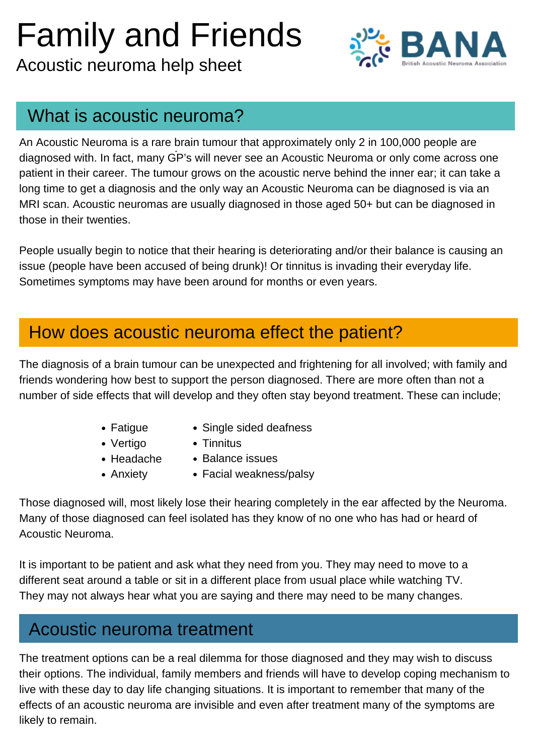# Family and Friends

Acoustic neuroma help sheet



#### What is acoustic neuroma?

- Fatigue
- Vertigo
- $\bullet$  Headache
- Anxiety
- Single sided deafness
- Tinnitus
- Balance issues
- Facial weakness/palsy

#### How does acoustic neuroma effect the patient?

.<br>-An Acoustic Neuroma is a rare brain tumour that approximately only 2 in 100,000 people are diagnosed with. In fact, many GP's will never see an Acoustic Neuroma or only come across one patient in their career. The tumour grows on the acoustic nerve behind the inner ear; it can take a long time to get a diagnosis and the only way an Acoustic Neuroma can be diagnosed is via an MRI scan. Acoustic neuromas are usually diagnosed in those aged 50+ but can be diagnosed in those in their twenties.

People usually begin to notice that their hearing is deteriorating and/or their balance is causing an issue (people have been accused of being drunk)! Or tinnitus is invading their everyday life. Sometimes symptoms may have been around for months or even years.

The diagnosis of a brain tumour can be unexpected and frightening for all involved; with family and friends wondering how best to support the person diagnosed. There are more often than not a number of side effects that will develop and they often stay beyond treatment. These can include;

Those diagnosed will, most likely lose their hearing completely in the ear affected by the Neuroma. Many of those diagnosed can feel isolated has they know of no one who has had or heard of Acoustic Neuroma.

It is important to be patient and ask what they need from you. They may need to move to a different seat around a table or sit in a different place from usual place while watching TV. They may not always hear what you are saying and there may need to be many changes.

#### Acoustic neuroma treatment

The treatment options can be a real dilemma for those diagnosed and they may wish to discuss their options. The individual, family members and friends will have to develop coping mechanism to live with these day to day life changing situations. It is important to remember that many of the effects of an acoustic neuroma are invisible and even after treatment many of the symptoms are likely to remain.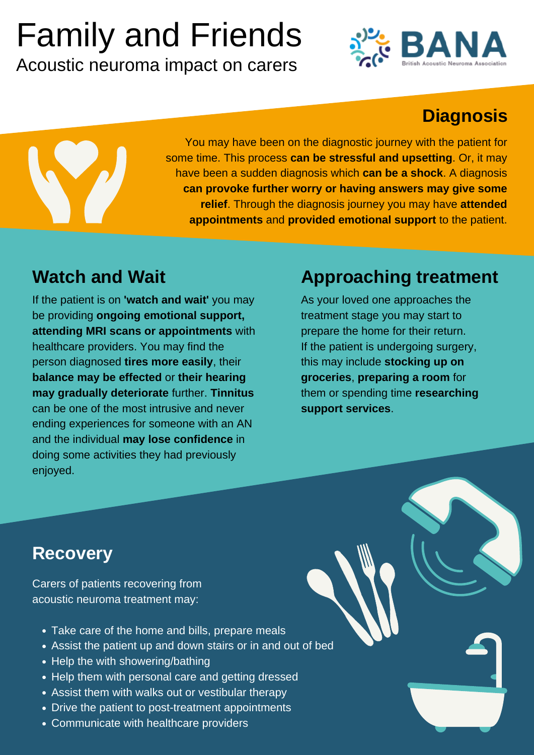- Take care of the home and bills, prepare meals
- Assist the patient up and down stairs or in and out of bed
- Help the with showering/bathing
- Help them with personal care and getting dressed
- Assist them with walks out or vestibular therapy
- Drive the patient to post-treatment appointments
- Communicate with healthcare providers

Carers of patients recovering from acoustic neuroma treatment may:

If the patient is on **'watch and wait'** you may be providing **ongoing emotional support, attending MRI scans or appointments** with healthcare providers. You may find the person diagnosed **tires more easily**, their **balance may be effected** or **their hearing may gradually deteriorate** further. **Tinnitus**

can be one of the most intrusive and never ending experiences for someone with an AN and the individual **may lose confidence** in doing some activities they had previously enjoyed.

You may have been on the diagnostic journey with the patient for some time. This process **can be stressful and upsetting**. Or, it may have been a sudden diagnosis which **can be a shock**. A diagnosis **can provoke further worry or having answers may give some relief**. Through the diagnosis journey you may have **attended appointments** and **provided emotional support** to the patient.

# Family and Friends

Acoustic neuroma impact on carers



### **Diagnosis**



### **Approaching treatment**

As your loved one approaches the treatment stage you may start to prepare the home for their return. If the patient is undergoing surgery, this may include **stocking up on groceries**, **preparing a room** for them or spending time **researching**

**support services**.

**Recovery**

#### **Watch and Wait**